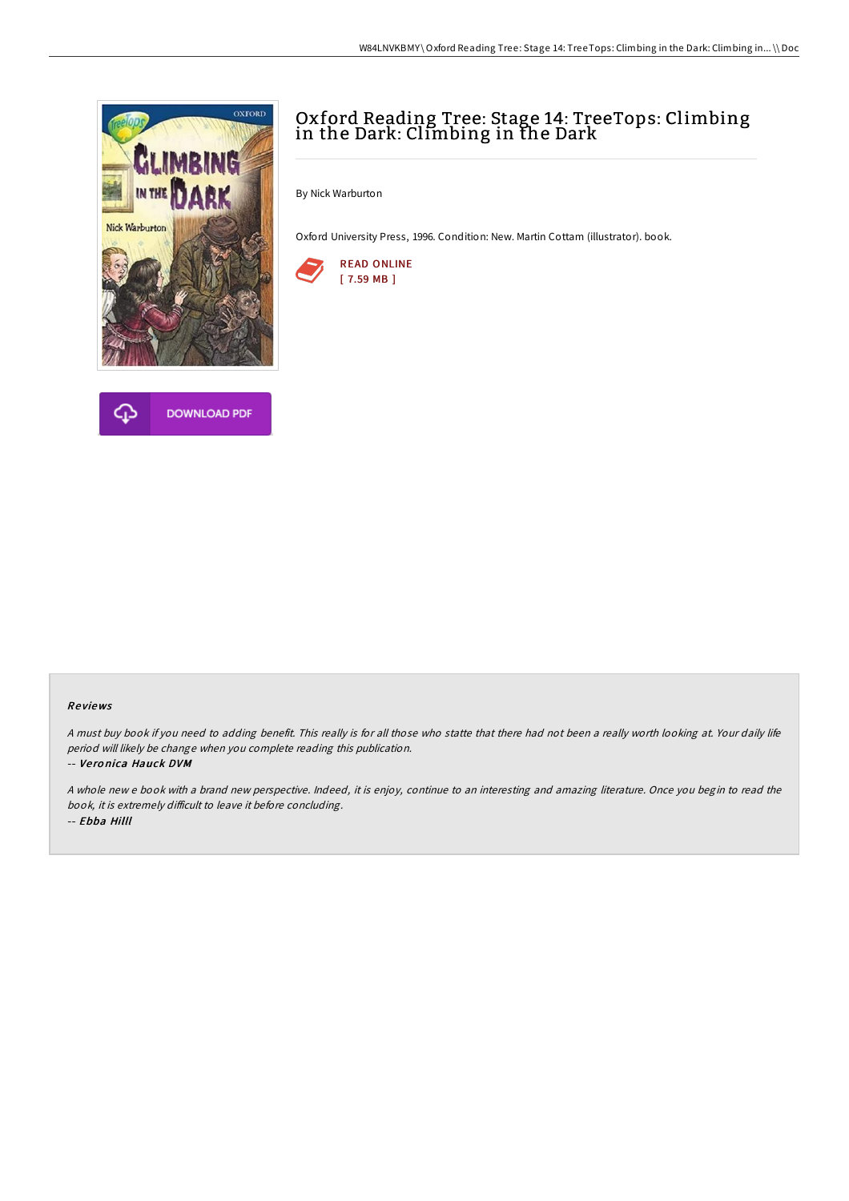



# Oxford Reading Tree: Stage 14: TreeTops: Climbing in the Dark: Climbing in the Dark

By Nick Warburton

Oxford University Press, 1996. Condition: New. Martin Cottam (illustrator). book.



#### Re views

<sup>A</sup> must buy book if you need to adding benefit. This really is for all those who statte that there had not been <sup>a</sup> really worth looking at. Your daily life period will likely be change when you complete reading this publication.

-- Ve ro nica Hauck DVM

A whole new <sup>e</sup> book with <sup>a</sup> brand new perspective. Indeed, it is enjoy, continue to an interesting and amazing literature. Once you begin to read the book, it is extremely difficult to leave it before concluding. -- Ebba Hilll